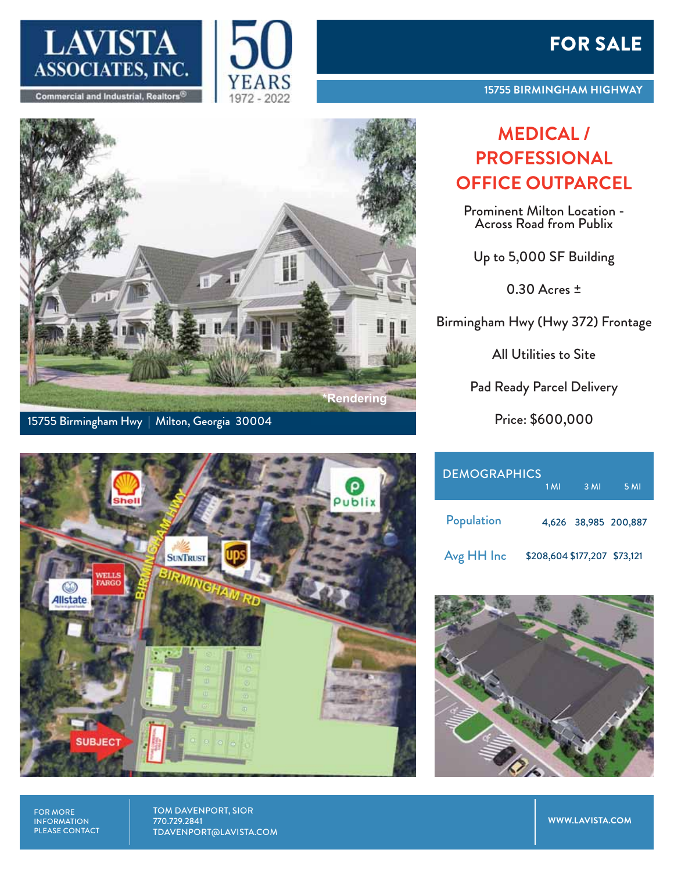





15755 Birmingham Hwy | Milton, Georgia 30004



FOR MORE INFORMATION PLEASE CONTACT TOM DAVENPORT, SIOR 770.729.2841 TDAVENPORT@LAVISTA.COM

## FOR SALE

## **MEDICAL / PROFESSIONAL OFFICE OUTPARCEL**

Prominent Milton Location - Across Road from Publix

Up to 5,000 SF Building

0.30 Acres ±

Birmingham Hwy (Hwy 372) Frontage

All Utilities to Site

Pad Ready Parcel Delivery

Price: \$600,000

| <b>DEMOGRAPHICS</b> | 1 M <sub>l</sub>             | 3 MI | 5 MI                 |
|---------------------|------------------------------|------|----------------------|
| Population          |                              |      | 4,626 38,985 200,887 |
| Avg HH Inc          | \$208,604 \$177,207 \$73,121 |      |                      |



**WWW.LAVISTA.COM**